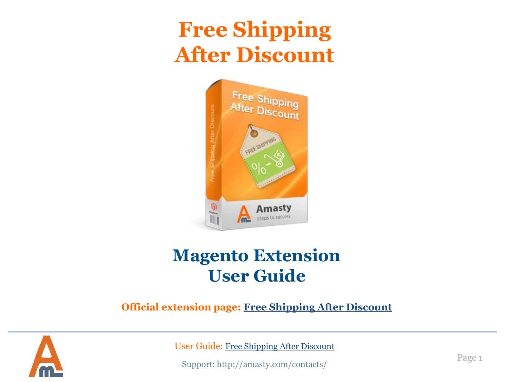## **Free Shipping After Discount**



## **Magento Extension User Guide**

**Official extension page: [Free Shipping After Discount](https://amasty.com/magento-free-shipping-after-discount.html)**



User Guide: [Free Shipping After Discount](https://amasty.com/magento-free-shipping-after-discount.html)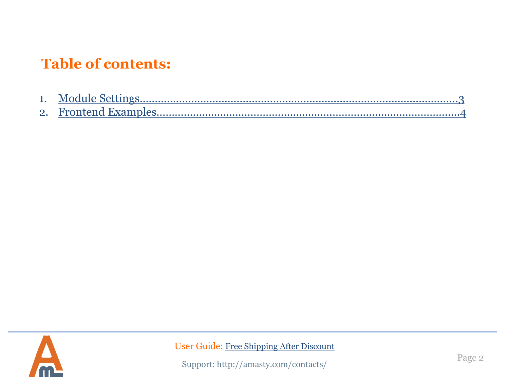### **Table of contents:**

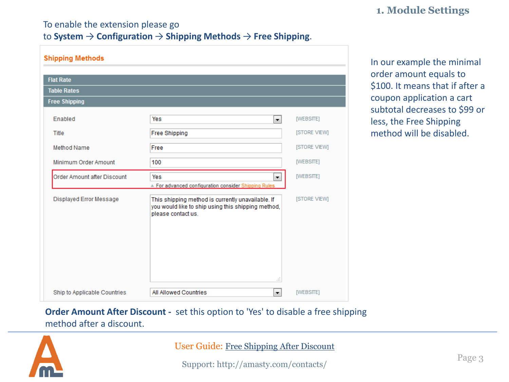#### **1. Module Settings**

### To enable the extension please go

#### to **System** → **Configuration** → **Shipping Methods** → **Free Shipping**.

| <b>Shipping Methods</b>      |                                                                                                                                      |                     |
|------------------------------|--------------------------------------------------------------------------------------------------------------------------------------|---------------------|
|                              |                                                                                                                                      |                     |
| <b>Flat Rate</b>             |                                                                                                                                      |                     |
| <b>Table Rates</b>           |                                                                                                                                      |                     |
| <b>Free Shipping</b>         |                                                                                                                                      |                     |
| <b>Enabled</b>               | Yes<br>▾▏                                                                                                                            | [WEBSITE]           |
| Title                        | <b>Free Shipping</b>                                                                                                                 | [STORE VIEW]        |
| Method Name                  | Free                                                                                                                                 | <b>ISTORE VIEWI</b> |
| Minimum Order Amount         | 100                                                                                                                                  | [WEBSITE]           |
| Order Amount after Discount  | Yes<br>÷<br>▲ For advanced configuration consider Shipping Rules                                                                     | [WEBSITE]           |
| Displayed Error Message      | This shipping method is currently unavailable. If<br>you would like to ship using this shipping method,<br>please contact us.<br>al. | [STORE VIEW]        |
| Ship to Applicable Countries | All Allowed Countries<br>▼                                                                                                           | [WEBSITE]           |

In our example the minimal order amount equals to \$100. It means that if after a coupon application a cart subtotal decreases to \$99 or less, the Free Shipping method will be disabled.

#### **Order Amount After Discount -** set this option to 'Yes' to disable a free shipping method after a discount.

<span id="page-2-0"></span>

User Guide: [Free Shipping After Discount](https://amasty.com/magento-free-shipping-after-discount.html)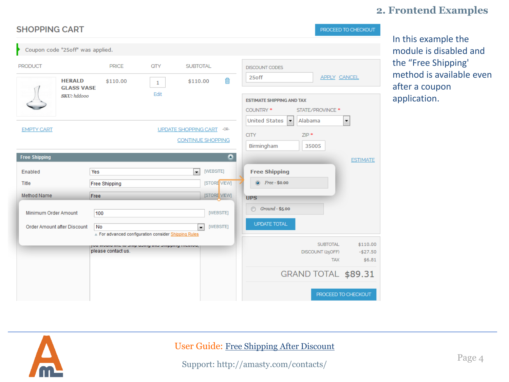#### **2. Frontend Examples**

| <b>SHOPPING CART</b>                                                                             |                                                                        |                                    |                                                                                      |                                        |                                                                                                                                                                                             |                                                   | PROCEED TO CHECKOUT             |
|--------------------------------------------------------------------------------------------------|------------------------------------------------------------------------|------------------------------------|--------------------------------------------------------------------------------------|----------------------------------------|---------------------------------------------------------------------------------------------------------------------------------------------------------------------------------------------|---------------------------------------------------|---------------------------------|
| Coupon code "25off" was applied.                                                                 |                                                                        |                                    |                                                                                      |                                        |                                                                                                                                                                                             |                                                   |                                 |
| <b>PRODUCT</b><br><b>HERALD</b><br><b>GLASS VASE</b><br><b>SKU</b> : hddooo<br><b>EMPTY CART</b> | <b>PRICE</b><br>\$110.00                                               | <b>QTY</b><br>$\mathbf{1}$<br>Edit | <b>SUBTOTAL</b><br>\$110.00<br>UPDATE SHOPPING CART -OR-<br><b>CONTINUE SHOPPING</b> | 偷                                      | <b>DISCOUNT CODES</b><br>25off<br><b>ESTIMATE SHIPPING AND TAX</b><br>COUNTRY *<br><b>United States</b><br>Alabama<br>$\blacktriangledown$<br><b>CITY</b><br>$ZIP$ *<br>Birmingham<br>35005 | <b>APPLY CANCEL</b><br>STATE/PROVINCE *           | ۰                               |
| <b>Free Shipping</b><br>Enabled<br>Title                                                         | Yes<br><b>Free Shipping</b>                                            |                                    | $\overline{\phantom{0}}$                                                             | $\bullet$<br>[WEBSITE]<br>[STORE VIEW] | <b>Free Shipping</b><br>$\circledcirc$<br>Free - \$0.00                                                                                                                                     |                                                   | <b>ESTIMATE</b>                 |
| <b>Method Name</b><br>Minimum Order Amount                                                       | Free<br>100                                                            |                                    |                                                                                      | [STORE VIEW]<br>[WEBSITE]              | <b>UPS</b><br>$Ground - $5.00$<br>⋒                                                                                                                                                         |                                                   |                                 |
| Order Amount after Discount                                                                      | No<br>▲ For advanced configuration consider Shipping Rules             |                                    | ÷                                                                                    | [WEBSITE]                              | <b>UPDATE TOTAL</b>                                                                                                                                                                         |                                                   |                                 |
|                                                                                                  | you would like to only doing and ompping meanod,<br>please contact us. |                                    |                                                                                      |                                        |                                                                                                                                                                                             | <b>SUBTOTAL</b><br>DISCOUNT (25OFF)<br><b>TAX</b> | \$110.00<br>$-$27.50$<br>\$6.81 |
|                                                                                                  |                                                                        |                                    |                                                                                      |                                        | GRAND TOTAL \$89.31                                                                                                                                                                         |                                                   |                                 |
|                                                                                                  |                                                                        |                                    |                                                                                      |                                        |                                                                                                                                                                                             |                                                   | PROCEED TO CHECKOUT             |

In this example the module is disabled and the "Free Shipping' method is available even after a coupon application.

<span id="page-3-0"></span>

#### User Guide: [Free Shipping After Discount](https://amasty.com/magento-free-shipping-after-discount.html)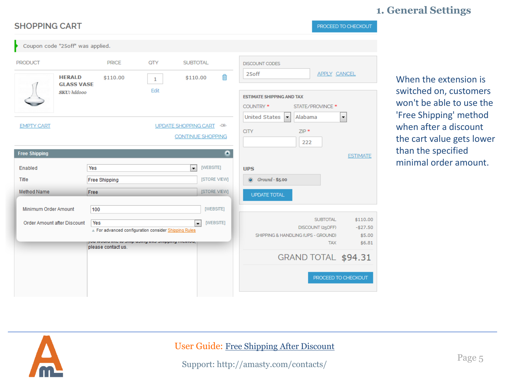#### **1. General Settings**

| <b>SHOPPING CART</b>                                          |                                                                                                                                     |                     |                                                                      | PROCEED TO CHECKOUT                                                                                                                                                                   |
|---------------------------------------------------------------|-------------------------------------------------------------------------------------------------------------------------------------|---------------------|----------------------------------------------------------------------|---------------------------------------------------------------------------------------------------------------------------------------------------------------------------------------|
| Coupon code "25off" was applied.                              |                                                                                                                                     |                     |                                                                      |                                                                                                                                                                                       |
| <b>PRODUCT</b><br><b>HERALD</b>                               | <b>PRICE</b><br>\$110.00                                                                                                            | QTY<br>$\mathbf{1}$ | <b>SUBTOTAL</b><br>⋒<br>\$110.00                                     | <b>DISCOUNT CODES</b><br>APPLY CANCEL<br>25off                                                                                                                                        |
| <b>GLASS VASE</b><br><b>SKU</b> : hddooo<br><b>EMPTY CART</b> |                                                                                                                                     | Edit                | UPDATE SHOPPING CART -OR-                                            | <b>ESTIMATE SHIPPING AND TAX</b><br>STATE/PROVINCE *<br>COUNTRY *<br><b>United States</b><br>Alabama<br>$\overline{\phantom{a}}$<br>$\overline{\phantom{a}}$<br><b>CITY</b><br>$ZIP*$ |
| <b>Free Shipping</b><br>Enabled                               | Yes                                                                                                                                 |                     | <b>CONTINUE SHOPPING</b><br>$\bullet$<br>[WEBSITE]<br>$\blacksquare$ | 222<br><b>ESTIMATE</b><br><b>UPS</b>                                                                                                                                                  |
| Title<br>Method Name                                          | <b>Free Shipping</b><br>Free                                                                                                        |                     | [STORE VIEW]<br>[STORE VIEW]                                         | Ground - \$5.00<br>$\circledcirc$<br><b>UPDATE TOTAL</b>                                                                                                                              |
| Minimum Order Amount                                          | 100                                                                                                                                 |                     | [WEBSITE]                                                            |                                                                                                                                                                                       |
| Order Amount after Discount                                   | Yes<br>For advanced configuration consider Shipping Rules<br>you would like to only doing and ompping meanod,<br>please contact us. |                     | [WEBSITE]<br>$\blacksquare$                                          | <b>SUBTOTAL</b><br>\$110.00<br>$-527.50$<br>DISCOUNT (25OFF)<br>\$5.00<br>SHIPPING & HANDLING (UPS - GROUND)<br><b>TAX</b><br>\$6.81                                                  |
|                                                               |                                                                                                                                     |                     |                                                                      | GRAND TOTAL \$94.31                                                                                                                                                                   |
|                                                               |                                                                                                                                     |                     |                                                                      | PROCEED TO CHECKOUT                                                                                                                                                                   |

When the extension is switched on, customers won't be able to use the 'Free Shipping' method when after a discount the cart value gets lower than the specified minimal order amount.



#### User Guide: [Free Shipping After Discount](https://amasty.com/magento-free-shipping-after-discount.html)